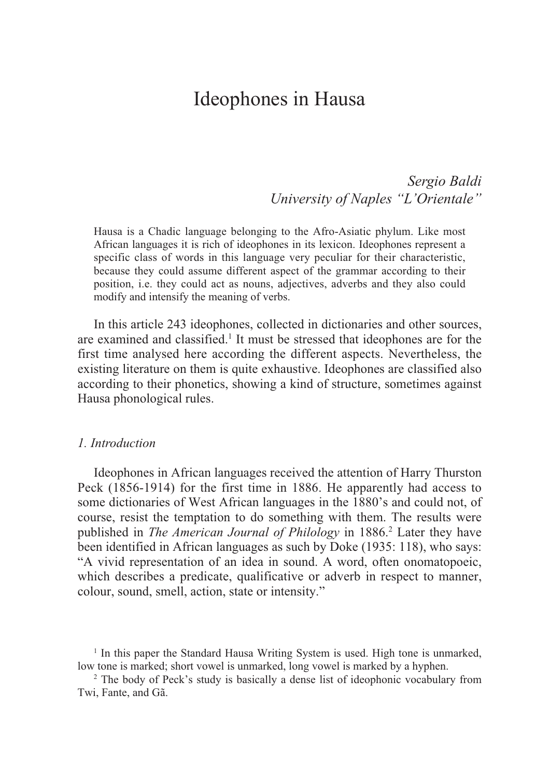*Sergio Baldi University of Naples "L'Orientale"*

Hausa is a Chadic language belonging to the Afro-Asiatic phylum. Like most African languages it is rich of ideophones in its lexicon. Ideophones represent a specific class of words in this language very peculiar for their characteristic, because they could assume different aspect of the grammar according to their position, i.e. they could act as nouns, adjectives, adverbs and they also could modify and intensify the meaning of verbs.

In this article 243 ideophones, collected in dictionaries and other sources, are examined and classified.<sup>1</sup> It must be stressed that ideophones are for the first time analysed here according the different aspects. Nevertheless, the existing literature on them is quite exhaustive. Ideophones are classified also according to their phonetics, showing a kind of structure, sometimes against Hausa phonological rules.

#### *1. Introduction*

Ideophones in African languages received the attention of Harry Thurston Peck (1856-1914) for the first time in 1886. He apparently had access to some dictionaries of West African languages in the 1880's and could not, of course, resist the temptation to do something with them. The results were published in *The American Journal of Philology* in 1886.2 Later they have been identified in African languages as such by Doke (1935: 118), who says: "A vivid representation of an idea in sound. A word, often onomatopoeic, which describes a predicate, qualificative or adverb in respect to manner, colour, sound, smell, action, state or intensity."

<sup>1</sup> In this paper the Standard Hausa Writing System is used. High tone is unmarked, low tone is marked; short vowel is unmarked, long vowel is marked by a hyphen.

<sup>2</sup> The body of Peck's study is basically a dense list of ideophonic vocabulary from Twi, Fante, and Gã.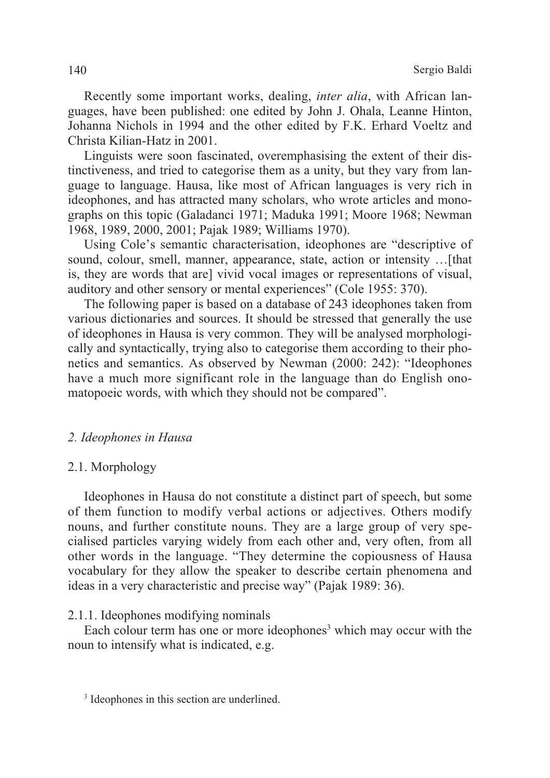Recently some important works, dealing, *inter alia*, with African languages, have been published: one edited by John J. Ohala, Leanne Hinton, Johanna Nichols in 1994 and the other edited by F.K. Erhard Voeltz and Christa Kilian-Hatz in 2001.

Linguists were soon fascinated, overemphasising the extent of their distinctiveness, and tried to categorise them as a unity, but they vary from language to language. Hausa, like most of African languages is very rich in ideophones, and has attracted many scholars, who wrote articles and monographs on this topic (Galadanci 1971; Maduka 1991; Moore 1968; Newman 1968, 1989, 2000, 2001; Pajak 1989; Williams 1970).

Using Cole's semantic characterisation, ideophones are "descriptive of sound, colour, smell, manner, appearance, state, action or intensity …[that is, they are words that are] vivid vocal images or representations of visual, auditory and other sensory or mental experiences" (Cole 1955: 370).

The following paper is based on a database of 243 ideophones taken from various dictionaries and sources. It should be stressed that generally the use of ideophones in Hausa is very common. They will be analysed morphologically and syntactically, trying also to categorise them according to their phonetics and semantics. As observed by Newman (2000: 242): "Ideophones have a much more significant role in the language than do English onomatopoeic words, with which they should not be compared".

### *2. Ideophones in Hausa*

#### 2.1. Morphology

Ideophones in Hausa do not constitute a distinct part of speech, but some of them function to modify verbal actions or adjectives. Others modify nouns, and further constitute nouns. They are a large group of very specialised particles varying widely from each other and, very often, from all other words in the language. "They determine the copiousness of Hausa vocabulary for they allow the speaker to describe certain phenomena and ideas in a very characteristic and precise way" (Pajak 1989: 36).

#### 2.1.1. Ideophones modifying nominals

Each colour term has one or more ideophones<sup>3</sup> which may occur with the noun to intensify what is indicated, e.g.

<sup>&</sup>lt;sup>3</sup> Ideophones in this section are underlined.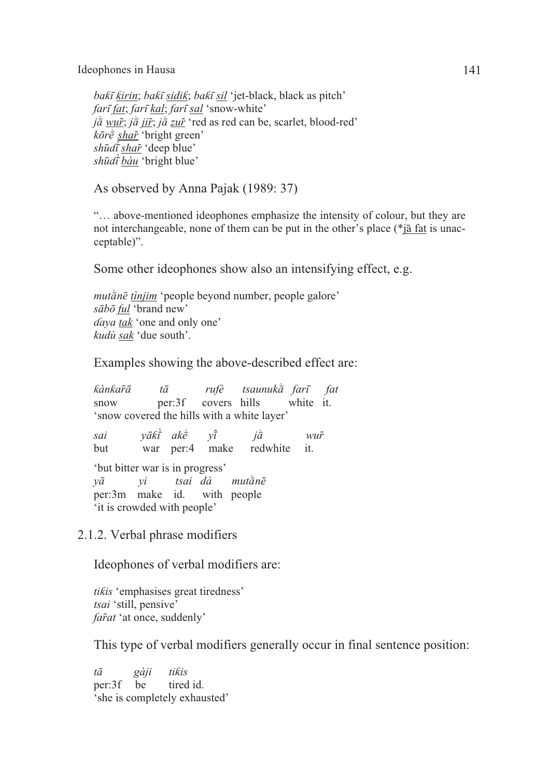*baƙī ƙirin*; *baƙī sidiƙ*; *baƙī sil* 'jet-black, black as pitch' *farī fat*; *farī kal*; *farī sal* 'snow-white' *j* $\hat{a}$  *wur̃*; *j* $\hat{a}$  *jir̃*; *j* $\hat{a}$  *zur̃* 'red as red can be, scarlet, blood-red' *kōrè shar*<sup>*'*</sup> bright green' *shūɗī shar̃*'deep blue' *shūɗī bàu* 'bright blue'

As observed by Anna Pajak (1989: 37)

"… above-mentioned ideophones emphasize the intensity of colour, but they are not interchangeable, none of them can be put in the other's place (\*jā fat is unacceptable)".

Some other ideophones show also an intensifying effect, e.g.

*mutànē tìnjim* 'people beyond number, people galore' *sābō ful* 'brand new' *ɗaya tak* 'one and only one' *kudù sak* 'due south'.

Examples showing the above-described effect are:

*kànkar̃ā* tā rufè tsaunukȧ̃ farī fat snow per:3f covers hills white it. 'snow covered the hills with a white layer'

*sai vākt̄̀ akè vī*  $i\dot{\bar{a}}$  *wur*<sup>*x*</sup> but war per:4 make redwhite it. 'but bitter war is in progress' *y* $\bar{a}$  *yi* tsai dà mut $\bar{a}$ nē per:3m make id. with people 'it is crowded with people'

2.1.2. Verbal phrase modifiers

Ideophones of verbal modifiers are:

*tiƙis* 'emphasises great tiredness' *tsai* 'still, pensive' *far̃at* 'at once, suddenly'

This type of verbal modifiers generally occur in final sentence position:

*tā gàji tiƙis*  per:3f be tired id. 'she is completely exhausted'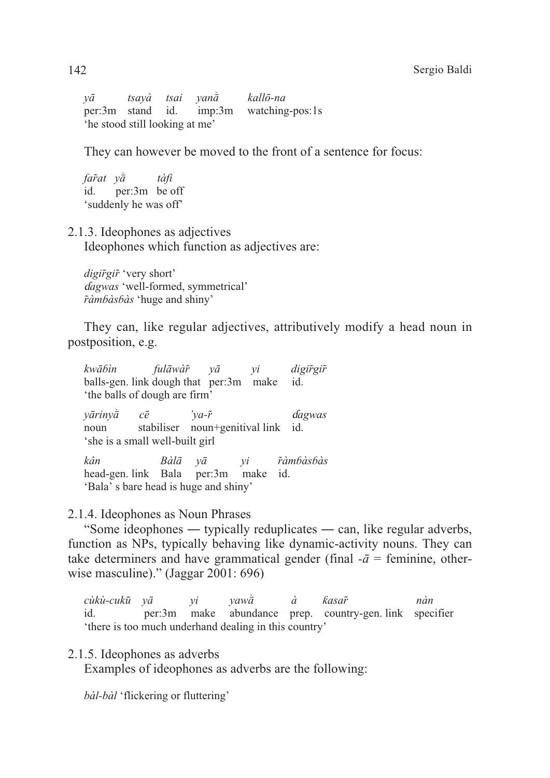*yā* tsayà tsai yan $\hat{a}$  kallō-na per:3m stand id. imp:3m watching-pos:1s 'he stood still looking at me'

They can however be moved to the front of a sentence for focus:

*far̃at y* $\dot{\bar{a}}$  *tàfi* id. per:3m be off 'suddenly he was off'

# 2.1.3. Ideophones as adjectives Ideophones which function as adjectives are:

*digir̃gir̃*'very short' ɗ*agwas* 'well-formed, symmetrical' *r̃àmɓàsɓàs* 'huge and shiny'

They can, like regular adjectives, attributively modify a head noun in postposition, e.g.

*kwāɓìn fulāwàr̃ yā yi digir̃gir̃* balls-gen. link dough that per:3m make id. 'the balls of dough are firm'

*yāriny* $\overline{a}$  *c* $\overline{e}$  'ya- $\tilde{r}$  dagwas noun stabiliser noun+genitival link id. 'she is a small well-built girl

*kân Bàlā yā yi r̃àmɓàsɓàs*  head-gen. link Bala per:3m make id. 'Bala' s bare head is huge and shiny'

# 2.1.4. Ideophones as Noun Phrases

"Some ideophones ― typically reduplicates ― can, like regular adverbs, function as NPs, typically behaving like dynamic-activity nouns. They can take determiners and have grammatical gender (final  $-\bar{a}$  = feminine, otherwise masculine)." (Jaggar 2001: 696)

*cùkù-cukū yā yi yawW à ƙasar̃ nàn*  id. per:3m make abundance prep. country-gen. link specifier 'there is too much underhand dealing in this country'

# 2.1.5. Ideophones as adverbs

Examples of ideophones as adverbs are the following:

*bàl-bàl* 'flickering or fluttering'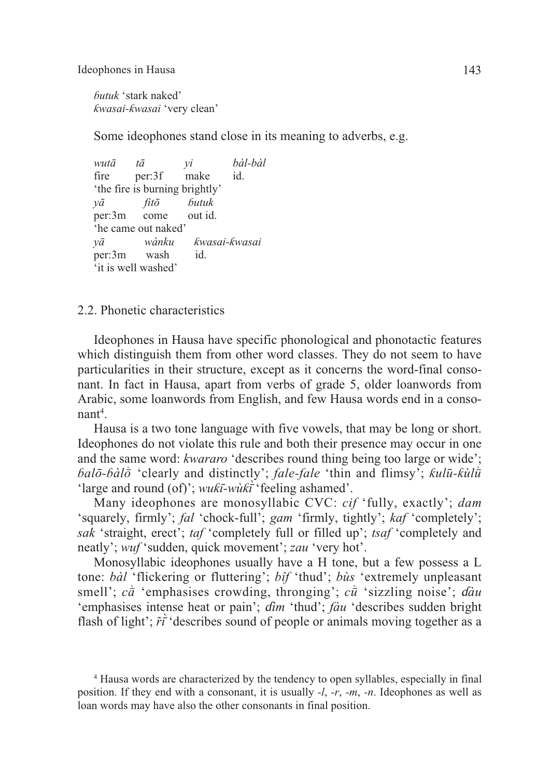*ɓutuk* 'stark naked' *ƙwasai-ƙwasai* 'very clean'

Some ideophones stand close in its meaning to adverbs, e.g.

*wutā tā yi bàl-bàl*  fire per:3f make id. 'the fire is burning brightly' *yā fitō ɓutuk*  per:3m come out id. 'he came out naked' *yā wànku ƙwasai-ƙwasai*  per:3m wash id. 'it is well washed'

2.2. Phonetic characteristics

Ideophones in Hausa have specific phonological and phonotactic features which distinguish them from other word classes. They do not seem to have particularities in their structure, except as it concerns the word-final consonant. In fact in Hausa, apart from verbs of grade 5, older loanwords from Arabic, some loanwords from English, and few Hausa words end in a consonant<sup>4</sup>.

Hausa is a two tone language with five vowels, that may be long or short. Ideophones do not violate this rule and both their presence may occur in one and the same word: *kwararo* 'describes round thing being too large or wide'; *balō-bàlō* 'clearly and distinctly'; *fale-fale* 'thin and flimsy'; *kulū-kùlū* 'large and round (of)'; *wuƙī-wùƙī*'feeling ashamed'.

Many ideophones are monosyllabic CVC: *cif* 'fully, exactly'; *dam* 'squarely, firmly'; *fal* 'chock-full'; *gam* 'firmly, tightly'; *kaf* 'completely'; *sak* 'straight, erect'; *taf* 'completely full or filled up'; *tsaf* 'completely and neatly'; *wuf* 'sudden, quick movement'; *zau* 'very hot'.

Monosyllabic ideophones usually have a H tone, but a few possess a L tone: *bàl* 'flickering or fluttering'; *bîf* 'thud'; *bùs* 'extremely unpleasant smell';  $c\bar{a}$  'emphasises crowding, thronging';  $c\bar{u}$  'sizzling noise';  $d\hat{a}u$ 'emphasises intense heat or pain'; ɗ*ìm* 'thud'; *fàu* 'describes sudden bright flash of light':  $\tilde{r}\tilde{i}$ 'describes sound of people or animals moving together as a

<sup>4</sup> Hausa words are characterized by the tendency to open syllables, especially in final position. If they end with a consonant, it is usually *-l*, *-r*, *-m*, *-n*. Ideophones as well as loan words may have also the other consonants in final position.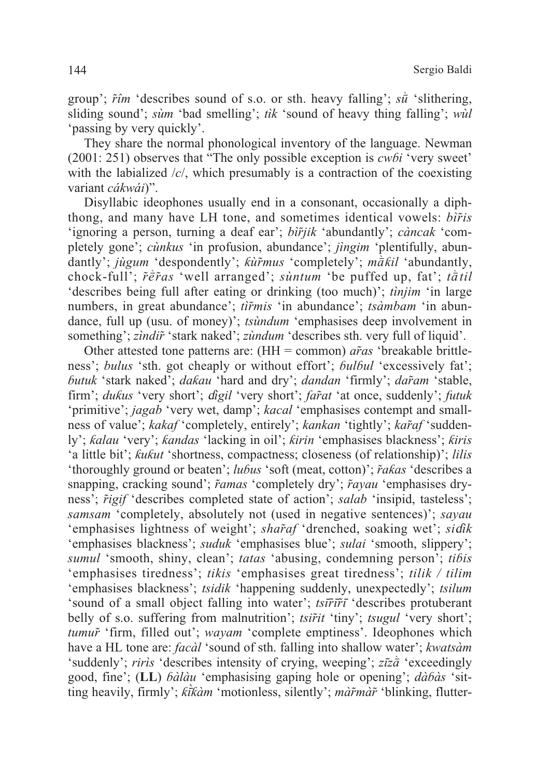group';  $\tilde{r}$ *îm* 'describes sound of s.o. or sth. heavy falling';  $s\tilde{u}$  'slithering, sliding sound'; *sùm* 'bad smelling'; *tìk* 'sound of heavy thing falling'; *wùl* 'passing by very quickly'.

They share the normal phonological inventory of the language. Newman (2001: 251) observes that "The only possible exception is *cwɓi* 'very sweet' with the labialized /*c*/, which presumably is a contraction of the coexisting variant *cákwái*)".

Disyllabic ideophones usually end in a consonant, occasionally a diphthong, and many have LH tone, and sometimes identical vowels: *bìr̃is* 'ignoring a person, turning a deaf ear'; *bìr̃jik* 'abundantly'; *càncak* 'completely gone'; *cùnkus* 'in profusion, abundance'; *jìngim* 'plentifully, abundantly'; *jùgum* 'despondently'; *kùr̃mus* 'completely'; *mākil* 'abundantly, chock-full';  $\tilde{r}\tilde{e}\tilde{r}$  as 'well arranged'; *sùntum* 'be puffed up, fat';  $t\tilde{a}til$ 'describes being full after eating or drinking (too much)'; *tìnjim* 'in large numbers, in great abundance'; *tìr̃mis* 'in abundance'; *tsàmbam* 'in abundance, full up (usu. of money)'; *tsùndum* 'emphasises deep involvement in something'; *zìndir̃*'stark naked'; *zùndum* 'describes sth. very full of liquid'.

Other attested tone patterns are: (HH = common) *ar̃as* 'breakable brittleness'; *bulus* 'sth. got cheaply or without effort'; *bulbul* 'excessively fat'; *ɓutuk* 'stark naked'; *daƙau* 'hard and dry'; *dandan* 'firmly'; *dar̃am* 'stable, firm'; *duƙus* 'very short'; ɗ*igil* 'very short'; *far̃at* 'at once, suddenly'; *futuk* 'primitive'; *jagab* 'very wet, damp'; *kacal* 'emphasises contempt and smallness of value'; *kakaf* 'completely, entirely'; *kankan* 'tightly'; *kar̃af* 'suddenly'; *ƙalau* 'very'; *ƙandas* 'lacking in oil'; *ƙirin* 'emphasises blackness'; *ƙiris* 'a little bit'; *ƙuƙut* 'shortness, compactness; closeness (of relationship)'; *lilis* 'thoroughly ground or beaten'; *luɓus* 'soft (meat, cotton)'; *r̃aƙas* 'describes a snapping, cracking sound'; *r̃amas* 'completely dry'; *r̃ayau* 'emphasises dryness'; *r̃igif* 'describes completed state of action'; *salab* 'insipid, tasteless'; *samsam* 'completely, absolutely not (used in negative sentences)'; *sayau* 'emphasises lightness of weight'; *shar̃af* 'drenched, soaking wet'; *si*ɗ*ik* 'emphasises blackness'; *suduk* 'emphasises blue'; *sulai* 'smooth, slippery'; *sumul* 'smooth, shiny, clean'; *tatas* 'abusing, condemning person'; *tiɓis* 'emphasises tiredness'; *tikis* 'emphasises great tiredness'; *tilik / tilim* 'emphasises blackness'; *tsidik* 'happening suddenly, unexpectedly'; *tsilum* 'sound of a small object falling into water'; *tsīr̃īr̃ī* 'describes protuberant belly of s.o. suffering from malnutrition'; *tsir̃it* 'tiny'; *tsugul* 'very short'; *tumur̃*'firm, filled out'; *wayam* 'complete emptiness'. Ideophones which have a HL tone are: *facàl* 'sound of sth. falling into shallow water'; *kwatsàm* 'suddenly'; *riris* 'describes intensity of crying, weeping'; *zīzā* 'exceedingly' good, fine'; (**LL**) *ɓàlàu* 'emphasising gaping hole or opening'; *dàɓàs* 'sitting heavily, firmly'; *ƙīƙàm* 'motionless, silently'; *màr̃màr̃*'blinking, flutter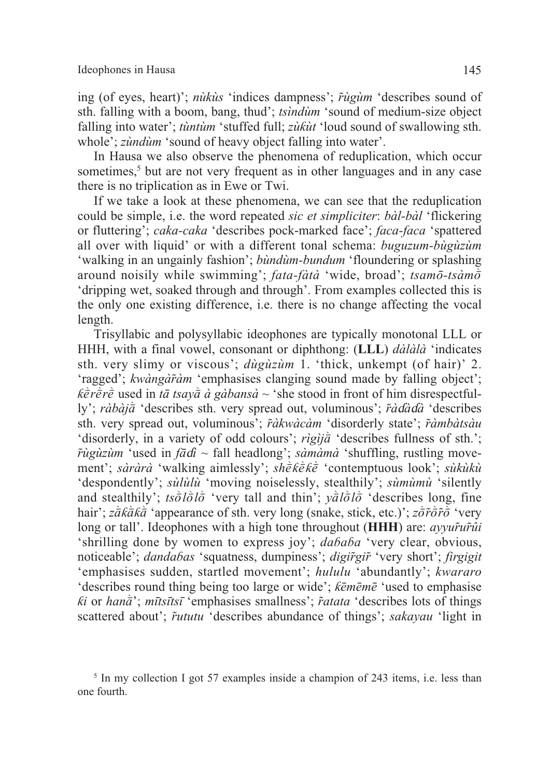ing (of eyes, heart)'; *nùkùs* 'indices dampness'; *r̃ùgùm* 'describes sound of sth. falling with a boom, bang, thud'; *tsìndùm* 'sound of medium-size object falling into water'; *tùntùm* 'stuffed full; *zùƙùt* 'loud sound of swallowing sth. whole'; *zùndùm* 'sound of heavy object falling into water'.

In Hausa we also observe the phenomena of reduplication, which occur sometimes,<sup>5</sup> but are not very frequent as in other languages and in any case there is no triplication as in Ewe or Twi.

If we take a look at these phenomena, we can see that the reduplication could be simple, i.e. the word repeated *sic et simpliciter*: *bàl-bàl* 'flickering or fluttering'; *caka-caka* 'describes pock-marked face'; *faca-faca* 'spattered all over with liquid' or with a different tonal schema: *buguzum-bùgùzùm* 'walking in an ungainly fashion'; *bùndùm-bundum* 'floundering or splashing around noisily while swimming'; *fata-fàtà* 'wide, broad'; *tsamō-tsàmo* 'dripping wet, soaked through and through'. From examples collected this is the only one existing difference, i.e. there is no change affecting the vocal length.

Trisyllabic and polysyllabic ideophones are typically monotonal LLL or HHH, with a final vowel, consonant or diphthong: (**LLL**) *dàlàlà* 'indicates sth. very slimy or viscous'; *dùgùzùm* 1. 'thick, unkempt (of hair)' 2. 'ragged'; *kwàngàr̃àm* 'emphasises clanging sound made by falling object';  $k\tilde{e}r\tilde{e}r\tilde{e}$  used in *tā tsaya à gàbansa* ~ 'she stood in front of him disrespectfully'; *ràbàj* $\hat{a}$  'describes sth. very spread out, voluminous'; *r̃àdàda* 'describes sth. very spread out, voluminous'; *r̃àkwàcàm* 'disorderly state'; *r̃àmbàtsàu* 'disorderly, in a variety of odd colours'; *rìgìja* 'describes fullness of sth.'; *r̃ùgùzùm* 'used in *fā*ɗ*ì ~* fall headlong'; *sàmàmà* 'shuffling, rustling movement'; *sàràrà* 'walking aimlessly'; *shèkèkè* 'contemptuous look'; *sùkùkù* 'despondently'; *sùlùlù* 'moving noiselessly, stealthily'; *sùmùmù* 'silently and stealthily';  $ts\bar{\partial}l\bar{\partial}l\bar{\partial}$  'very tall and thin';  $y\bar{a}l\bar{\partial}l\bar{\partial}$  'describes long, fine hair': *z* $\overline{a}$ *K* $\overline{a}$ *K* $\overline{a}$  'appearance of sth. very long (snake, stick, etc.)': *z* $\overline{\overline{a}}$ *f* $\overline{\overline{b}}$  'very long or tall'. Ideophones with a high tone throughout (**HHH**) are: *ayyur̃ur̃ûi* 'shrilling done by women to express joy'; *daɓaɓa* 'very clear, obvious, noticeable'; *dandaɓas* 'squatness, dumpiness'; *digir̃gir̃*'very short'; *firgigit* 'emphasises sudden, startled movement'; *hululu* 'abundantly'; *kwararo* 'describes round thing being too large or wide'; *ƙēmēmē* 'used to emphasise *ki* or *hana<sup>†\*</sup>*; *mītsītsī* 'emphasises smallness'; *r̃atata* 'describes lots of things scattered about'; *r̃ututu* 'describes abundance of things'; *sakayau* 'light in

<sup>5</sup> In my collection I got 57 examples inside a champion of 243 items, i.e. less than one fourth.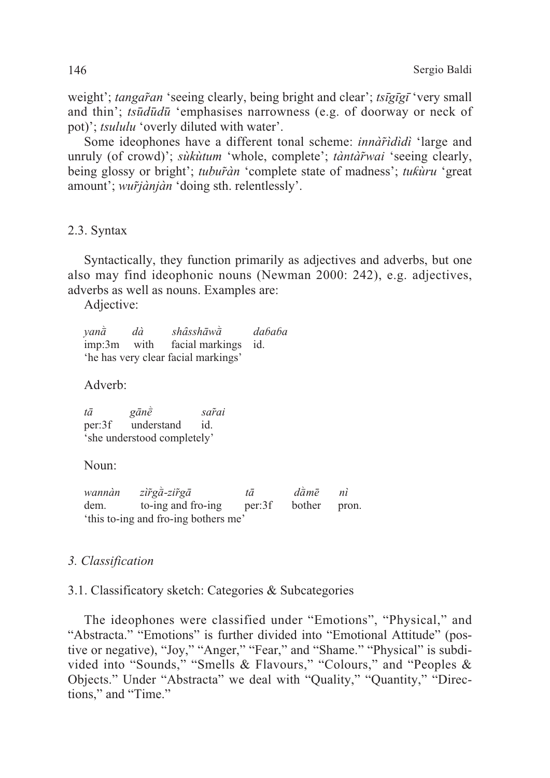weight'; *tangaran* 'seeing clearly, being bright and clear'; *tsigigi* 'very small' and thin'; *tsūdūdū* 'emphasises narrowness (e.g. of doorway or neck of pot)'; *tsululu* 'overly diluted with water'.

Some ideophones have a different tonal scheme: *innardiala* 'large and unruly (of crowd): sukutum 'whole, complete'; tantarwai 'seeing clearly, being glossy or bright'; tuburan 'complete state of madness'; tukuru 'great amount'; *wurtjànjàn* 'doing sth. relentlessly'.

2.3. Syntax

Syntactically, they function primarily as adjectives and adverbs, but one also may find ideophonic nouns (Newman 2000: 242), e.g. adjectives, adverbs as well as nouns. Examples are:

Adjective:

 $van\ddot{a}$  $sh\hat{a}$ shāw $\dot{\bar{a}}$  $dababa$  $d\hat{a}$ with  $imp:3m$ facial markings  $id$ 'he has very clear facial markings'

Adverb:

 $t\bar{a}$  $\varrho \bar{a} n \dot{\bar{e}}$ sar̃ai per:3f understand id. 'she understood completely'

Noun:

wannàn  $z\tilde{i}\tilde{r}g\tilde{a}$ -zi $\tilde{r}g\tilde{a}$  $d\tilde{a}m\tilde{e}$  $n\tilde{i}$  $t\bar{a}$ dem. to-ing and fro-ing per:3f bother pron. 'this to-ing and fro-ing bothers me'

# 3. Classification

# 3.1. Classificatory sketch: Categories & Subcategories

The ideophones were classified under "Emotions", "Physical," and "Abstracta." "Emotions" is further divided into "Emotional Attitude" (postive or negative), "Joy," "Anger," "Fear," and "Shame." "Physical" is subdivided into "Sounds," "Smells & Flavours," "Colours," and "Peoples & Objects." Under "Abstracta" we deal with "Quality," "Quantity," "Directions," and "Time."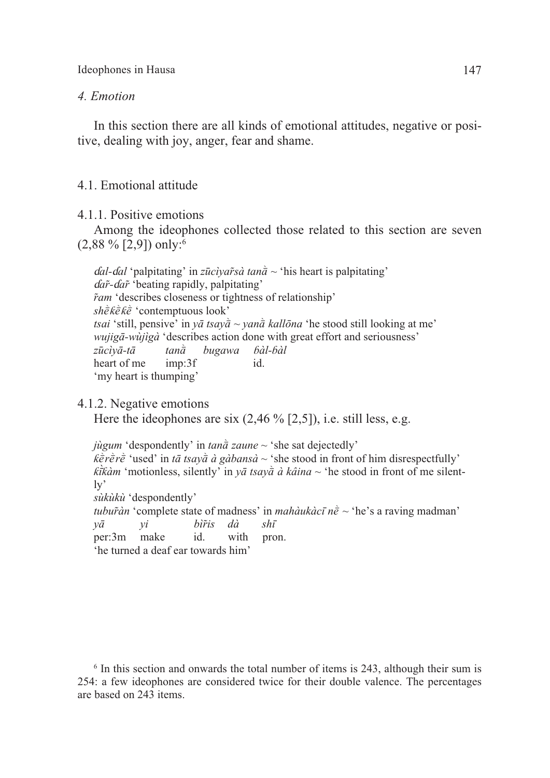### *4. Emotion*

In this section there are all kinds of emotional attitudes, negative or positive, dealing with joy, anger, fear and shame.

### 4.1. Emotional attitude

4.1.1. Positive emotions

Among the ideophones collected those related to this section are seven  $(2,88\%$  [2,9]) only:<sup>6</sup>

 $d\alpha l$ - $d\alpha l$  'palpitating' in *zūcìyar̃sà tana*<sup>{ $\alpha$ </sup> 'his heart is palpitating' ɗ*ar̃-*ɗ*ar̃*'beating rapidly, palpitating'  $\tilde{r}$ *am* 'describes closeness or tightness of relationship' *shèkèkè* 'contemptuous look' *tsai* 'still, pensive' in  $y\bar{a}$  *tsay* $\dot{\bar{a}}$  ~  $y$ *an* $\dot{\bar{a}}$  *kallona* 'he stood still looking at me' *wujigā-wùjìgà* 'describes action done with great effort and seriousness' *zūcìyā-tā tanW bugawa ɓàl-ɓàl*  heart of me imp:3f id. 'my heart is thumping'

# 4.1.2. Negative emotions

Here the ideophones are six  $(2,46\%$  [2,5]), i.e. still less, e.g.

*jugum* 'despondently' in *tana zaune*  $\sim$  'she sat dejectedly'  $k \bar{e} \vec{r} \vec{e} \vec{r}$  'used' in *tā tsaya à gàbansà* ~ 'she stood in front of him disrespectfully' *k* $\hat{i}$ *kâm* 'motionless, silently' in *y* $\bar{a}$  *tsay* $\hat{a}$  *à kâina* ~ 'he stood in front of me silently' *sùkùkù* 'despondently' *tubur̃àn* 'complete state of madness' in *mahàukàcī n* $\vec{e}$  ~ 'he's a raving madman' *yā yi bìr̃is dà shī* per:3m make id. with pron.

'he turned a deaf ear towards him'

<sup>6</sup> In this section and onwards the total number of items is 243, although their sum is 254: a few ideophones are considered twice for their double valence. The percentages are based on 243 items.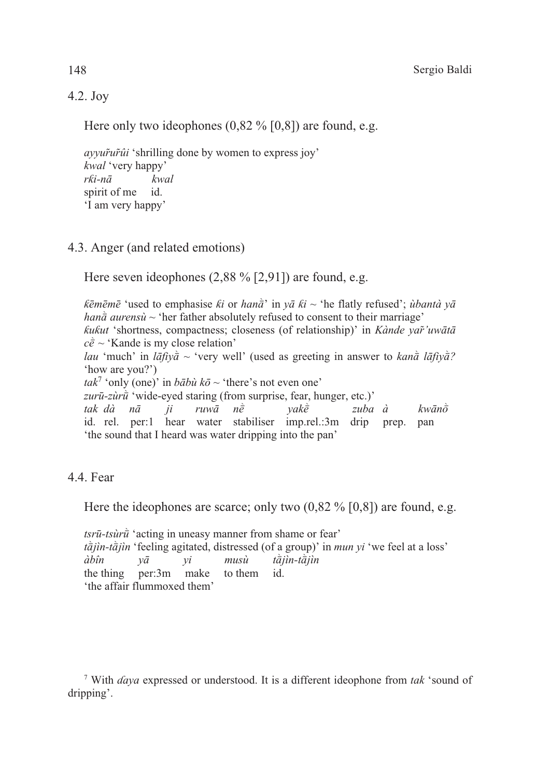# 4.2. Joy

Here only two ideophones  $(0.82\%$  [0,8]) are found, e.g.

*ayyur̃ur̃ûi* 'shrilling done by women to express joy' *kwal* 'very happy' *rƙi-nā kwal* spirit of me id. 'I am very happy'

# 4.3. Anger (and related emotions)

Here seven ideophones (2,88 % [2,91]) are found, e.g.

*k* $\bar{\epsilon}$ *m* $\bar{\epsilon}$ <sup>*n*</sup> is equivalently refused is *we ki* or *hana<sup>* $\bar{\alpha}$  in *ya ki* ~ 'he flatly refused'; *ùbantà ya*</sup> *han* $\bar{a}$  *aurensu*  $\sim$  'her father absolutely refused to consent to their marriage' *ƙuƙut* 'shortness, compactness; closeness (of relationship)' in *Kànde yar̃'uwātā*  $c\tilde{e}$  ~ 'Kande is my close relation' *lau* 'much' in *lāfiya* ~ 'very well' (used as greeting in answer to *kana lāfiya*? 'how are you?') *tak*<sup>7</sup> 'only (one)' in  $b\bar{a}b\dot{u}k\bar{\sigma} \sim$  'there's not even one' *zurū-zùr* $\hat{u}$  'wide-eyed staring (from surprise, fear, hunger, etc.)'  $t$ ak dà nā ji ruwā nè yakè zuba à kwān $\tilde{\sigma}$ id. rel. per:1 hear water stabiliser imp.rel.:3m drip prep. pan 'the sound that I heard was water dripping into the pan'

# 4.4. Fear

Here the ideophones are scarce; only two  $(0.82\% [0.8])$  are found, e.g.

*tsrū-tsùrū* 'acting in uneasy manner from shame or fear' *t* $\partial f$ *ijin-t* $\partial f$ *jin* 'feeling agitated, distressed (of a group)' in *mun yi* 'we feel at a loss' *àbîn* yā yi musù tājìn-tājìn the thing per:3m make to them id. 'the affair flummoxed them'

<sup>7</sup> With *ɗaya* expressed or understood. It is a different ideophone from *tak* 'sound of dripping'.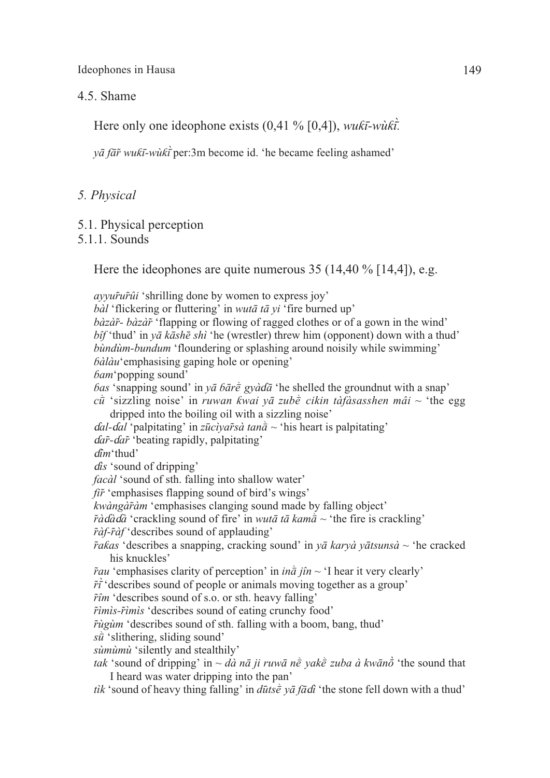#### 4.5. Shame

Here only one ideophone exists (0,41 % [0,4]), *wuƙī-wùƙī.*

*yā fār̃wuƙī-wùƙī*per:3m become id. 'he became feeling ashamed'

### *5. Physical*

5.1. Physical perception

# 5.1.1. Sounds

Here the ideophones are quite numerous 35 (14,40 % [14,4]), e.g.

*ayyur̃ur̃ûi* 'shrilling done by women to express joy'

*bàl* 'flickering or fluttering' in *wutā tā yi* 'fire burned up' *bàzàr̃- bàzàr̃*'flapping or flowing of ragged clothes or of a gown in the wind' *bîf* 'thud' in *yā kāshē shì* 'he (wrestler) threw him (opponent) down with a thud' *bùndùm-bundum* 'floundering or splashing around noisily while swimming' *ɓàlàu*'emphasising gaping hole or opening' *ɓam*'popping sound' *bas* 'snapping sound' in  $y\bar{a}$  *bare*  $\bar{g}y\dot{a}d\bar{a}$  'he shelled the groundnut with a snap'  $c\hat{u}$  'sizzling noise' in *ruwan ƙwai yā zubè cikin tàfàsasshen mâi* ~ 'the egg dripped into the boiling oil with a sizzling noise' <sup>ɗ</sup>*al-*ɗ*al* 'palpitating' in *zūcìyar̃sà tanW* ~ 'his heart is palpitating' ɗ*ar̃-*ɗ*ar̃*'beating rapidly, palpitating' ɗ*îm*'thud' ɗ*is* 'sound of dripping' *facàl* 'sound of sth. falling into shallow water' *fir̃*'emphasises flapping sound of bird's wings' *kwàngàr̃àm* 'emphasises clanging sound made by falling object'  $\tilde{r}$ *àd* $\tilde{a}$ d $\tilde{a}$  'crackling sound of fire' in *wutā tā kama*<sup> $\sim$ </sup> 'the fire is crackling' *r̃àf-r̃àf* 'describes sound of applauding' *r̃aƙas* 'describes a snapping, cracking sound' in *yā karyà yātsunsà* ~ 'he cracked his knuckles'  $\tilde{r}$ *au* 'emphasises clarity of perception' in *ina jîn* ~ 'I hear it very clearly'  $\tilde{r}$ <sup> $\tilde{i}$ </sup>'describes sound of people or animals moving together as a group' *r̃îm* 'describes sound of s.o. or sth. heavy falling' *r̃ìmìs-r̃ìmìs* 'describes sound of eating crunchy food' *r̃ùgùm* 'describes sound of sth. falling with a boom, bang, thud'  $s\hat{u}$  'slithering, sliding sound' *sùmùmù* 'silently and stealthily' *tak* 'sound of dripping' in  $\sim d\dot{a}$  *nā ji ruwā n* $\dot{e}$  *yak* $\dot{e}$  *zuba à kwāno* 'the sound that I heard was water dripping into the pan' *tìk* 'sound of heavy thing falling' in  $d\bar{u}$ ts $\bar{\epsilon}$  *y* $\bar{a}$  *fadi* 'the stone fell down with a thud'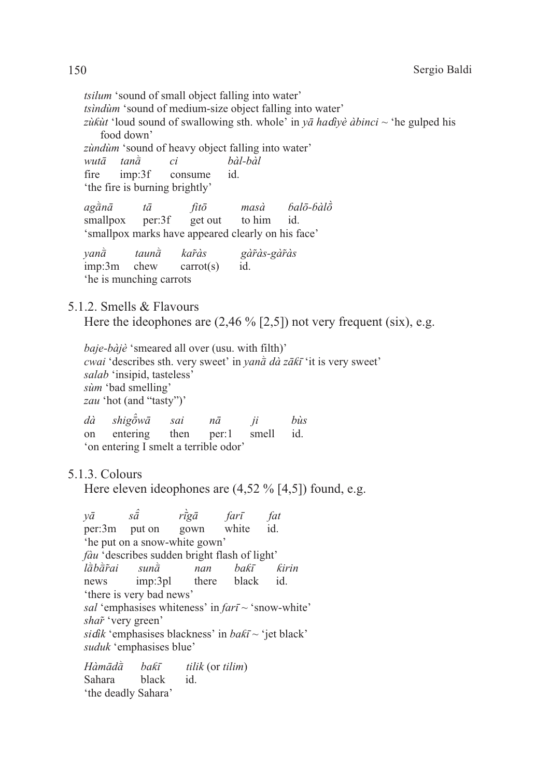*tsilum* 'sound of small object falling into water' *tsindum* 'sound of medium-size object falling into water' zùkùt 'loud sound of swallowing sth. whole' in yā hadiyè àbinci ~ 'he gulped his food down' zùndùm 'sound of heavy object falling into water' hàl-hàl  $wut\bar{a}$  $tan\hat{a}$  $ci$ fire  $imn:3f$ consume id 'the fire is burning brightly'  $a\gamma$ ganā  $bal\bar{o}$ -bàl $\dot{\bar{o}}$  $t\bar{a}$  $fit\bar{o}$  $mas\ddot{a}$ get out to him smallpox per:3f id 'smallpox marks have appeared clearly on his face'  $van\ddot{\bar{a}}$  $tau\bar{a}$ karàs gàràs-gàràs  $imp:3m$ chew  $carrot(s)$ id. the is munching carrots 5.1.2. Smells & Flavours Here the ideophones are  $(2,46\%$  [2,5]) not very frequent (six), e.g. *baje-bàjè* 'smeared all over (usu. with filth)' *cwai* 'describes sth. very sweet' in *yana*  $d\hat{a}$  za $\hat{k}$ <sup> $\hat{i}$ </sup> it is very sweet' salab 'insipid, tasteless' sùm 'bad smelling' zau 'hot (and "tasty")'  $d\hat{a}$  $shi$ g $\hat{\sigma}$ w $\bar{a}$ sai  $n\bar{a}$ *hùs*  $ii$ entering then  $per:1$ smell  $id$ <sub>on</sub> 'on entering I smelt a terrible odor' 5.1.3. Colours Here eleven ideophones are  $(4,52\%$  [4,5]) found, e.g.  $s\hat{\bar{a}}$  $r\dot{\bar{t}}g\bar{a}$  $v\bar{a}$  $fari$ fat per:3m white put on gown id. 'he put on a snow-white gown' fàu 'describes sudden bright flash of light'

lābārai  $sun\ddot{a}$ nan bakī kirin imp:3pl black news there  $id.$ 'there is very bad news' sal 'emphasises whiteness' in  $\hat{r}$  ari ~ 'snow-white' shar 'very green'

sidik 'emphasises blackness' in  $bak\bar{i} \sim$  'jet black' suduk 'emphasises blue'

 $H\hat{a}m\bar{a}d\hat{\bar{a}}$ hakī tilik (or tilim) Sahara black id. 'the deadly Sahara'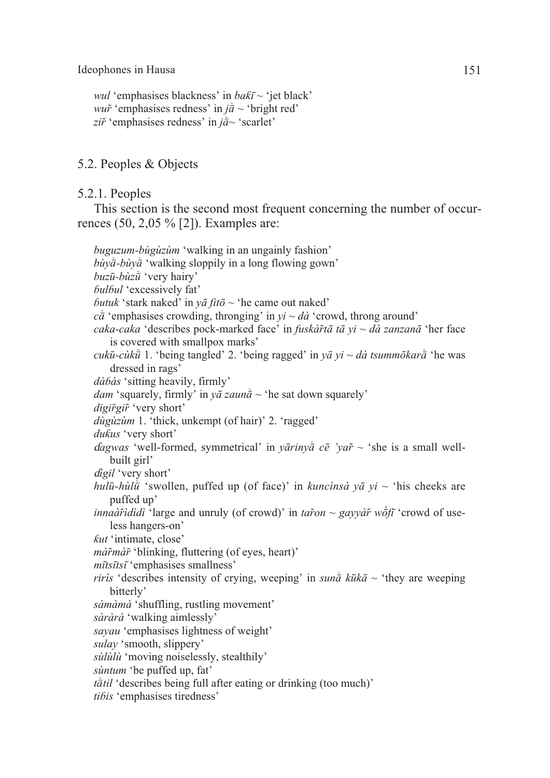```
wul 'emphasises blackness' in baƙī ~ 'jet black'
wur<sup>\alpha</sup>'emphasises redness' in j\vec{a} \sim'bright red'
zi\tilde{r}<sup>'emphasises redness' in j\tilde{a}<sup>2</sup> 'scarlet'</sup>
```
# 5.2. Peoples & Objects

5.2.1. Peoples

This section is the second most frequent concerning the number of occurrences (50, 2,05 % [2]). Examples are:

*buguzum-bùgùzùm* 'walking in an ungainly fashion'  $b\dot{u}\gamma\dot{\bar{a}}$ - $b\dot{u}\gamma\dot{\bar{a}}$  'walking sloppily in a long flowing gown' *buzū-bùzū* 'very hairy' *ɓulɓul* 'excessively fat' *butuk* 'stark naked' in  $v\bar{a}$  *fito*  $\sim$  'he came out naked'  $c\tilde{a}$  'emphasises crowding, thronging' in  $yi \sim d\tilde{a}$  'crowd, throng around' *caka-caka* 'describes pock-marked face' in *fuskàr̃tā tā yi ~ dà zanzanā* 'her face is covered with smallpox marks' *cukū-cùk* $\vec{u}$  1. 'being tangled' 2. 'being ragged' in  $v\vec{a}$   $vi \sim d\vec{a}$  *tsummōkar* $\vec{a}$  'he was dressed in rags' *dàɓàs* 'sitting heavily, firmly' *dam* 'squarely, firmly' in  $y\bar{a}$  zaun $\bar{a}$  ~ 'he sat down squarely' *digir̃gir̃*'very short' *dùgùzùm* 1. 'thick, unkempt (of hair)' 2. 'ragged' *duƙus* 'very short' *dagwas* 'well-formed, symmetrical' in *yārinya*  $c\bar{e}$  '*yar*̃ ~ 'she is a small wellbuilt girl' ɗ*igil* 'very short' *hulū-hùl* $\bar{u}$  'swollen, puffed up (of face)' in *kuncìnsà yā yi* ~ 'his cheeks are puffed up' *innaàr̃îdìdì* 'large and unruly (of crowd)' in *tar̃on ~ gayvàr̃ wõtī* 'crowd of useless hangers-on' *ƙut* 'intimate, close' *màr̃màr̃*'blinking, fluttering (of eyes, heart)' *mītsītsī* 'emphasises smallness' *riris* 'describes intensity of crying, weeping' in *suna*  $k \bar{u} k \bar{a} \sim$  'they are weeping bitterly' *sàmàmà* 'shuffling, rustling movement' *sàràrà* 'walking aimlessly' *sayau* 'emphasises lightness of weight' *sulay* 'smooth, slippery' *sùlùlù* 'moving noiselessly, stealthily' *sùntum* 'be puffed up, fat'  $t\ddot{a}til$  'describes being full after eating or drinking (too much)' *tiɓis* 'emphasises tiredness'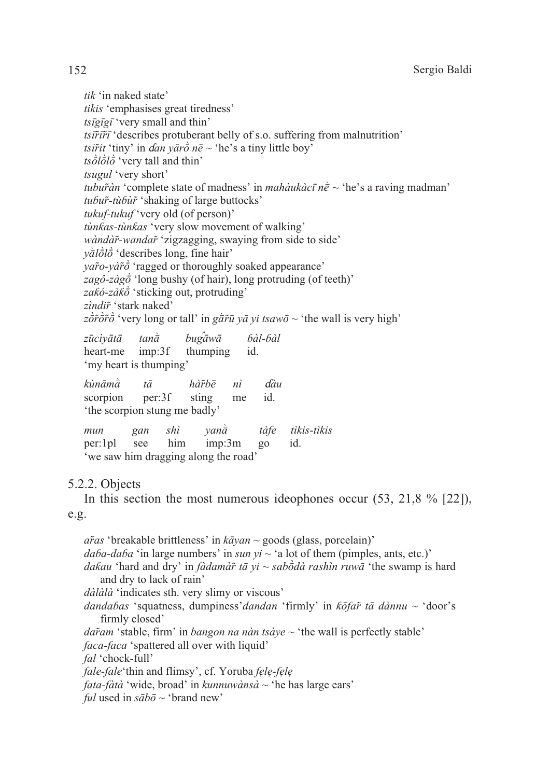tik 'in naked state' tikis 'emphasises great tiredness'  $t$ sīgīgī 'very small and thin'  $ts\tilde{u}\tilde{r}\tilde{v}$  describes protuberant belly of s.o. suffering from malnutrition' *tsir̃it* 'tiny' in *dan vārò nē* ~ 'he's a tiny little boy'  $ts\ddot{\partial}l\dot{\partial}l\dot{\partial}$  'very tall and thin' tsugul 'very short' *tubur̃àn* 'complete state of madness' in *mahàukàcī nề* ~ 'he's a raving madman' tubur-tùbur 'shaking of large buttocks' tukuf-tukuf 'very old (of person)' tùnkas-tùnkas 'very slow movement of walking' wàndàr-wandar 'zigzagging, swaying from side to side'  $v\ddot{a}l\dot{\partial}l\dot{\partial}$  'describes long, fine hair'  $\gamma a\tilde{r}o$ - $\gamma a\tilde{r}\tilde{\sigma}$  'ragged or thoroughly soaked appearance' zagô-zàg $\vec{o}$  'long bushy (of hair), long protruding (of teeth)' zakó-zàk $\vec{o}$  'sticking out, protruding' zìndir 'stark naked'  $z\overrightarrow{\sigma}\overrightarrow{r}\overrightarrow{\sigma}$  'very long or tall' in  $g\overrightarrow{\sigma}\overrightarrow{r}\overline{u}$  va vi tsaw $\overrightarrow{\sigma}$  ~ 'the wall is very high'  $buga\bar{a}w\bar{a}$ bàl-bàl zūcìvātā  $tan\hat{a}$ thumping heart-me  $imp:3f$ id. 'my heart is thumping'  $k$ ùnām $\dot{\bar{a}}$  $t\bar{a}$ hàĩbē  $n\tilde{i}$  $d\hat{a}u$ per:3f sting  $id.$ scorpion me 'the scorpion stung me badly'  $\overrightarrow{shi}$  $van\ddot{\tilde{a}}$ tàfe tìkis-tìkis mun  $gan$  $per:1p1$ see him imp:3m  $g_0$  $id$ 'we saw him dragging along the road' 5.2.2. Objects In this section the most numerous ideophones occur  $(53, 21, 8\%$  [22]),  $e.g.$  $a\tilde{r}$ as 'breakable brittleness' in  $k\bar{a}$  van ~ goods (glass, porcelain)'  $daba-daba'$  in large numbers' in sun yi ~ 'a lot of them (pimples, ants, etc.)' *dakau* 'hard and dry' in *fàdamàr* tā yi ~ saboda rashin ruwā 'the swamp is hard and dry to lack of rain' *dàlàlà* 'indicates sth. very slimy or viscous' dandabas 'squatness, dumpiness' dandan 'firmly' in  $k\bar{o}fa\tilde{r}$  tā dànnu ~ 'door's firmly closed' *dar̃am* 'stable, firm' in *bangon na nàn tsàve*  $\sim$  'the wall is perfectly stable' *faca-faca* 'spattered all over with liquid' fal 'chock-full'

fale-fale'thin and flimsy', cf. Yoruba fele-fele

*fata-fàtà* 'wide, broad' in *kunnuwànsà* ~ 'he has large ears'

*ful* used in  $s\bar{a}b\bar{o} \sim$  'brand new'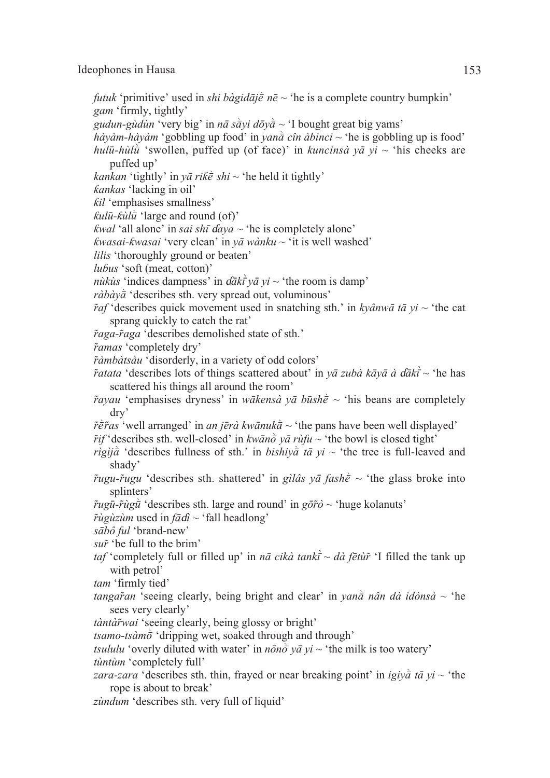- *futuk* 'primitive' used in *shi bàgidājè nē*  $\sim$  'he is a complete country bumpkin' *gam* 'firmly, tightly'
- *gudun-gùdùn* 'very big' in *nā sàvi dōyà* ~ 'I bought great big yams'
- $h\dot{a}$ *yàm-hàyàm* 'gobbling up food' in *yanà cîn àbinci* ~ 'he is gobbling up is food' *hulū-hùl* $\bar{u}$  'swollen, puffed up (of face)' in *kuncìnsà yā yi* ~ 'his cheeks are puffed up'
- *kankan* 'tightly' in  $y\bar{a}$  *rik* $\dot{\bar{e}}$  *shi* ~ 'he held it tightly'
- *ƙankas* 'lacking in oil'
- *ƙil* 'emphasises smallness'
- $k$ *ulū-* $k$ *ùl* $\hat{u}$  'large and round (of)'
- *kwal* 'all alone' in *sai shī daya*  $\sim$  'he is completely alone'
- *ƙwasai-ƙwasai* 'very clean' in *yā wànku* ~ 'it is well washed'
- *lilis* 'thoroughly ground or beaten'
- *luɓus* 'soft (meat, cotton)'
- *nùkùs* 'indices dampness' in  $d\bar{a}k\bar{i} y\bar{a} y\bar{i} \sim$  'the room is damp'
- *ràbày* $\vec{a}$  'describes sth. very spread out, voluminous'
- $\tilde{r}$ *af* 'describes quick movement used in snatching sth.' in *kyânwā tā yi* ~ 'the cat sprang quickly to catch the rat'
- *r̃aga-r̃aga* 'describes demolished state of sth.'
- *r̃amas* 'completely dry'
- *r̃àmbàtsàu* 'disorderly, in a variety of odd colors'
- *r̃atata* 'describes lots of things scattered about' in *yā zubà kāyā à* ɗ*ākī*~ 'he has scattered his things all around the room'
- *r*<sup> $\tilde{r}$ </sup>*ayau* 'emphasises dryness' in *wākensà yā būsh* $\tilde{e}$  ~ 'his beans are completely dry'
- $\tilde{r}$  $\tilde{e}$ *f*<sup> $\tilde{r}$ *as* 'well arranged' in *an jērà kwānuka*<sup> $\tilde{a}$  ~ 'the pans have been well displayed'</sup></sup>
- $\tilde{r}$ *if* 'describes sth. well-closed' in *kwāno*  $\tilde{\sigma}$  *yā rùfu* ~ 'the bowl is closed tight'
- *rìgìj* $\hat{a}$  'describes fullness of sth.' in *bishiy* $\hat{a}$  *tā yi* ~ 'the tree is full-leaved and shady'
- $\tilde{r}$ *ugu-* $\tilde{r}$ *ugu* 'describes sth. shattered' in *gìlâs yā fash* $\tilde{e}$  ~ 'the glass broke into splinters'
- $\tilde{r}ug\bar{u}$ - $\tilde{r}ug\bar{u}$  'describes sth. large and round' in  $g\bar{\sigma}\tilde{r}$ *ò* ~ 'huge kolanuts'
- *r̃ùgùzùm* used in *fā*ɗ*ì* ~ 'fall headlong'
- *sābô ful* 'brand-new'
- *sur̃*'be full to the brim'
- *taf* 'completely full or filled up' in *nā cikà tankī* ~ *dà fētùr̃* 'I filled the tank up with petrol'
- *tam* 'firmly tied'
- *tangaran* 'seeing clearly, being bright and clear' in *yana nân dà idònsà* ~ 'he sees very clearly'
- *tàntàr̃wai* 'seeing clearly, being glossy or bright'
- $t \sinh \theta$  'dripping wet, soaked through and through'
- *tsululu* 'overly diluted with water' in  $n\bar{\omega}$   $y\bar{a}$   $y\bar{i}$  ~ 'the milk is too watery' *tùntùm* 'completely full'
- *zara-zara* 'describes sth. thin, frayed or near breaking point' in *igiya* tā yi ~ 'the rope is about to break'
- *zùndum* 'describes sth. very full of liquid'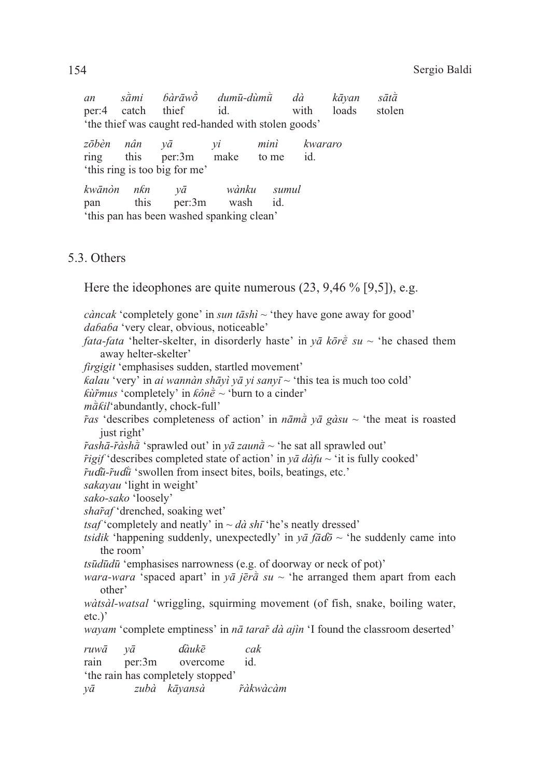| an                                                 |  |                       | sàmi bàrāwò dumū-dùmù dà kāyan sātà |  |              |  |
|----------------------------------------------------|--|-----------------------|-------------------------------------|--|--------------|--|
|                                                    |  | per:4 catch thief id. | <b>12.12 with</b>                   |  | loads stolen |  |
| the thief was caught red-handed with stolen goods' |  |                       |                                     |  |              |  |

zōbèn nân minì kwararo  $\nu\bar{a}$  $\mathcal{V}$ this id. ring per:3m make to me 'this ring is too big for me'

 $kw\bar{a}n\dot{\alpha}n$  $nkn$  $v\bar{a}$ wànku sumul this per:3m wash  $id$ pan 'this pan has been washed spanking clean'

# 5.3. Others

Here the ideophones are quite numerous  $(23, 9.46\%$  [9.5]), e.g.

*càncak* 'completely gone' in *sun tāshì*  $\sim$  'they have gone away for good' dababa 'very clear, obvious, noticeable' *fata-fata* 'helter-skelter, in disorderly haste' in  $y\bar{a}$  ko $\bar{c}$  su ~ 'he chased them away helter-skelter'

*firgigit* 'emphasises sudden, startled movement'

*kalau* 'very' in *ai wannàn shāyì yā yi sanyī* ~ 'this tea is much too cold'

*kũrmus* 'completely' in  $k\hat{o}n\hat{e}$  ~ 'burn to a cinder'

 $m\ddot{a}kil$ 'abundantly, chock-full'

ras 'describes completeness of action' in  $n\bar{a}m\bar{a}v\bar{a}g\dot{a}su \sim$  'the meat is roasted just right'

 $\tilde{r}asha-\tilde{r}asha$  'sprawled out' in  $y\bar{a} zaun\bar{a} \sim$  'he sat all sprawled out'

*rigif* 'describes completed state of action' in  $y\bar{a}$  *dàfu* ~ 'it is fully cooked'

rudū-rudū 'swollen from insect bites, boils, beatings, etc.'

sakayau 'light in weight'

sako-sako 'loosely'

*sharaf* 'drenched, soaking wet'

*tsaf* 'completely and neatly' in  $\sim d\dot{a} \, sh\bar{i}$  'he's neatly dressed'

*tsidik* 'happening suddenly, unexpectedly' in  $v\bar{a}$  fado ~ 'he suddenly came into the room'

*tsūdūdū* 'emphasises narrowness (e.g. of doorway or neck of pot)'

*wara-wara* 'spaced apart' in  $y\bar{a}$  *jēra* su ~ 'he arranged them apart from each other'

wàtsàl-watsal 'wriggling, squirming movement (of fish, snake, boiling water,  $etc.$ )'

*wayam* 'complete emptiness' in *nā tarar dà ajin* 'I found the classroom deserted'

 $d\hat{a}$ ukē  $ruw\bar{a}$  $v\bar{a}$  $cak$ rain per:3m overcome id. 'the rain has completely stopped'

*řàkwàcàm* zubà kāyansà  $\nu\bar{a}$ 

154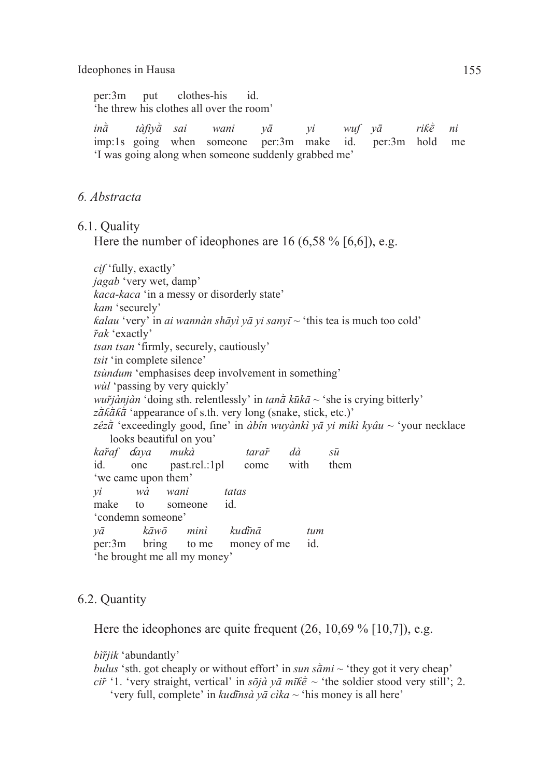per:3m put clothes-his id. 'he threw his clothes all over the room'

*in* $\bar{a}$  *tàfiy* $\bar{a}$  *sai* wani y $\bar{a}$  yi wuf y $\bar{a}$  rik $\bar{e}$  ni imp:1s going when someone per:3m make id. per:3m hold me 'I was going along when someone suddenly grabbed me'

### *6. Abstracta*

6.1. Quality

Here the number of ideophones are 16  $(6,58\%$  [6,6]), e.g.

*cif* 'fully, exactly' *jagab* 'very wet, damp' *kaca-kaca* 'in a messy or disorderly state' *kam* 'securely' *ƙalau* 'very' in *ai wannàn shāyì yā yi sanyī ~* 'this tea is much too cold' *r̃ak* 'exactly' *tsan tsan* 'firmly, securely, cautiously' *tsit* 'in complete silence' *tsùndum* 'emphasises deep involvement in something' *wùl* 'passing by very quickly' *wur̃* $i$ *ànjàn* 'doing sth. relentlessly' in *tan* $\bar{a}$  *kūkā* ~ 'she is crying bitterly'  $z\overline{\hat{a}}k\overline{\hat{a}}k\overline{\hat{a}}$  'appearance of s.th. very long (snake, stick, etc.)' zêz $\vec{a}$  'exceedingly good, fine' in *àbîn wuyànkì yā yi mikì kyâu* ~ 'your necklace looks beautiful on you' *kar̃af* ɗ*aya mukà tarar̃ dà sū* id. one past.rel.:1pl come with them 'we came upon them' *yi wà wani tatas* make to someone id. 'condemn someone' *yā kāwō minì ku*ɗ*īnā tum* per:3m bring to me money of me id. 'he brought me all my money'

### 6.2. Quantity

Here the ideophones are quite frequent (26, 10,69 % [10,7]), e.g.

*bìr̃jik* 'abundantly'

*bulus* 'sth. got cheaply or without effort' in *sun sami*  $\sim$  'they got it very cheap' *ci* $\tilde{r}$  '1. 'very straight, vertical' in *sōjà yā mīk* $\tilde{e}$  ~ 'the soldier stood very still'; 2. 'very full, complete' in *ku*ɗ*īnsà yā cìka ~* 'his money is all here'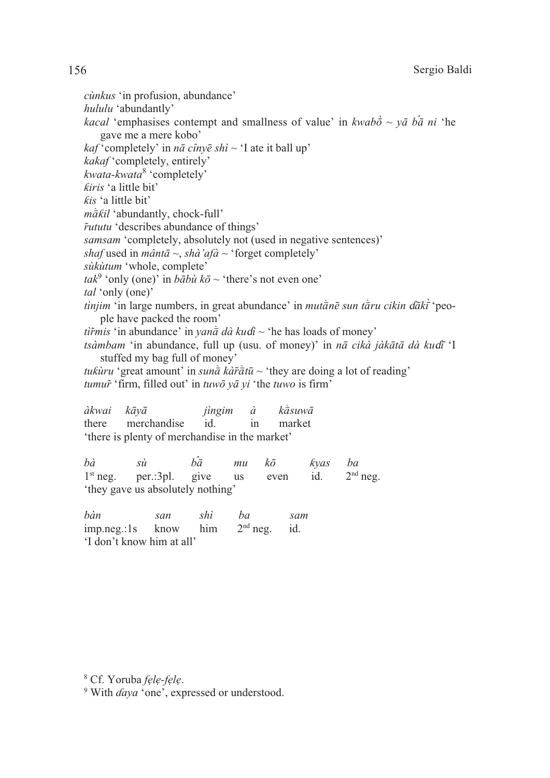*cùnkus* 'in profusion, abundance' *hululu* 'abundantly' *kacal* 'emphasises contempt and smallness of value' in *kwabo* ~  $y\bar{a}$  *ba ni* 'he gave me a mere kobo'  $kaf'$ completely' in  $n\bar{a}$  cînye shì ~ 'I ate it ball up' *kakaf* 'completely, entirely' *kwata-kwata*<sup>8</sup> 'completely' *ƙiris* 'a little bit' *ƙis* 'a little bit' *m* $\tilde{a}$ *kil* 'abundantly, chock-full' *r̃ututu* 'describes abundance of things' *samsam* 'completely, absolutely not (used in negative sentences)' *shaf* used in *mântā ~*, *shà'afà ~* 'forget completely' *sùkùtum* 'whole, complete'  $t a k^9$  'only (one)' in *bābù kō* ~ 'there's not even one' *tal* 'only (one)' *tìnjim* 'in large numbers, in great abundance' in *mutànē sun tàru cikin dāki* 'people have packed the room' *tìr̃mis* 'in abundance' in *yan* $\bar{a}$  *dà kuɗi* ~ 'he has loads of money' *tsàmbam* 'in abundance, full up (usu. of money)' in *nā cikà jàkātā dà ku*ɗ*ī* 'I stuffed my bag full of money' *tukùru* 'great amount' in *sun* $\bar{a}$  *kàr̃* $\bar{a}$ *tū* ~ 'they are doing a lot of reading' *tumur̃*'firm, filled out' in *tuwō yā yi* 'the *tuwo* is firm' *àkwai kāyā jìngim à kasuwā* there merchandise id. in market 'there is plenty of merchandise in the market'

*bà sù bā mu kō ƙyas ba*  $1<sup>st</sup>$  neg. per.:3pl. give us even id.  $2<sup>nd</sup>$  neg. 'they gave us absolutely nothing'

*bàn san shì ba sam* imp.neg.:1s know him  $2<sup>nd</sup>$  neg. id. 'I don't know him at all'

<sup>8</sup> Cf. Yoruba *fẹlẹ-fẹlẹ*.

<sup>9</sup> With *ɗaya* 'one', expressed or understood.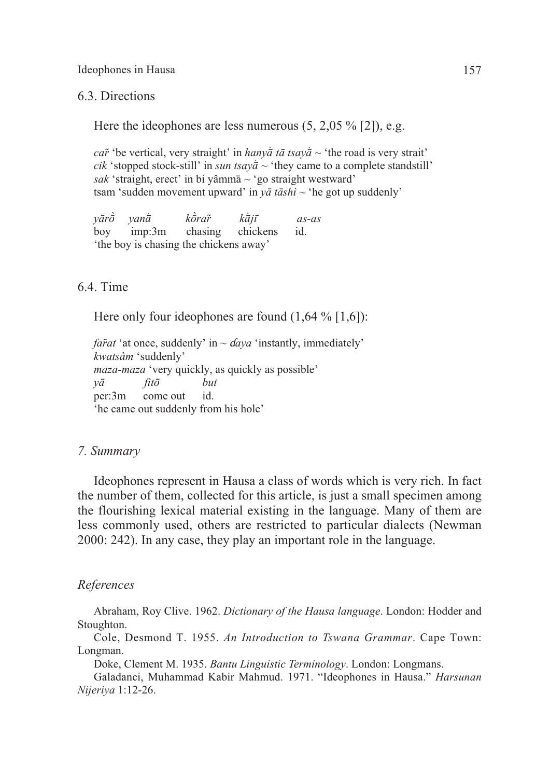6.3. Directions

Here the ideophones are less numerous (5, 2,05 % [2]), e.g.

*car*<sup> $\dot{r}$ </sup> be vertical, very straight' in *hany* $\dot{a}$  *tā tsay* $\dot{a}$  ~ 'the road is very strait' *cik* 'stopped stock-still' in *sun tsay* $\tilde{a} \sim$  'they came to a complete standstill'  $sak$  'straight, erect' in bi yâmm $\bar{a} \sim$  'go straight westward' tsam 'sudden movement upward' in *yā tāshì* ~ 'he got up suddenly'

 $\gamma \bar{a}$ r $\dot{\sigma}$   $\gamma$   $\alpha$ n $\dot{\alpha}$   $\gamma$   $\alpha$   $\gamma$   $\alpha$   $\gamma$   $\alpha$   $\gamma$   $\alpha$   $\gamma$   $\alpha$   $\gamma$   $\alpha$   $\gamma$   $\alpha$   $\gamma$   $\alpha$   $\gamma$   $\alpha$   $\gamma$   $\alpha$   $\gamma$   $\alpha$   $\gamma$   $\alpha$   $\gamma$   $\alpha$   $\gamma$   $\alpha$   $\gamma$   $\alpha$   $\gamma$   $\alpha$   $\gamma$   $\alpha$   $\gamma$   $\alpha$   $\gamma$  boy imp:3m chasing chickens id. 'the boy is chasing the chickens away'

### 6.4. Time

Here only four ideophones are found  $(1,64\%$  [1,6]):

*far̃* $at$  'at once, suddenly' in  $\sim$  *daya* 'instantly, immediately' *kwatsàm* 'suddenly' *maza-maza* 'very quickly, as quickly as possible' *yā fitō but*  per:3m come out id. 'he came out suddenly from his hole'

### *7. Summary*

Ideophones represent in Hausa a class of words which is very rich. In fact the number of them, collected for this article, is just a small specimen among the flourishing lexical material existing in the language. Many of them are less commonly used, others are restricted to particular dialects (Newman 2000: 242). In any case, they play an important role in the language.

### *References*

Abraham, Roy Clive. 1962. *Dictionary of the Hausa language*. London: Hodder and Stoughton.

Cole, Desmond T. 1955. *An Introduction to Tswana Grammar*. Cape Town: Longman.

Doke, Clement M. 1935. *Bantu Linguistic Terminology*. London: Longmans.

Galadanci, Muhammad Kabir Mahmud. 1971. "Ideophones in Hausa." *Harsunan Nijeriya* 1:12-26.